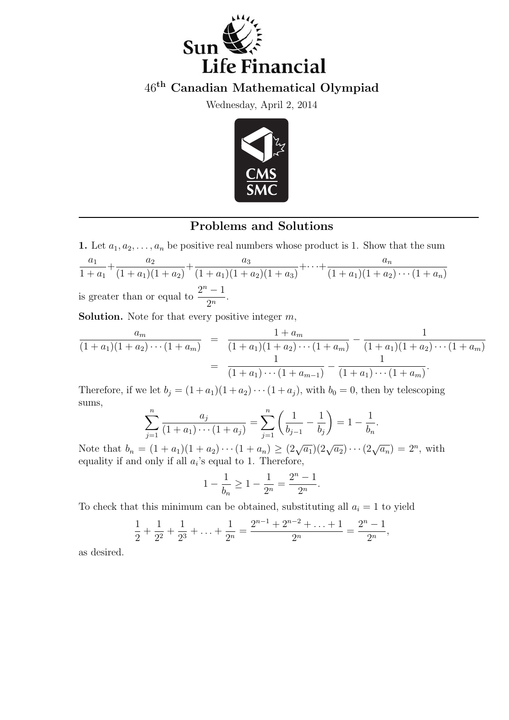

46th Canadian Mathematical Olympiad

Wednesday, April 2, 2014



## Problems and Solutions

1. Let  $a_1, a_2, \ldots, a_n$  be positive real numbers whose product is 1. Show that the sum  $a_1$  $1 + a_1$  $+\frac{a_2}{a_1+a_2}$  $(1 + a_1)(1 + a_2)$  $+\frac{a_3}{(1+\alpha)(1+\alpha)}$  $(1 + a_1)(1 + a_2)(1 + a_3)$  $+\cdots+\frac{a_n}{(1+\cdots)(1+\cdots)}$  $(1 + a_1)(1 + a_2) \cdots (1 + a_n)$ is greater than or equal to  $\frac{2^n-1}{2^n}$  $\frac{1}{2^n}$ .

**Solution.** Note for that every positive integer  $m$ ,

$$
\frac{a_m}{(1+a_1)(1+a_2)\cdots(1+a_m)} = \frac{1+a_m}{(1+a_1)(1+a_2)\cdots(1+a_m)} - \frac{1}{(1+a_1)(1+a_2)\cdots(1+a_m)}
$$

$$
= \frac{1}{(1+a_1)\cdots(1+a_{m-1})} - \frac{1}{(1+a_1)\cdots(1+a_m)}.
$$

Therefore, if we let  $b_j = (1 + a_1)(1 + a_2) \cdots (1 + a_j)$ , with  $b_0 = 0$ , then by telescoping sums,  $\overline{a}$  $\mathbf{r}$ 

$$
\sum_{j=1}^{n} \frac{a_j}{(1+a_1)\cdots(1+a_j)} = \sum_{j=1}^{n} \left(\frac{1}{b_{j-1}} - \frac{1}{b_j}\right) = 1 - \frac{1}{b_n}.
$$

Note that  $b_n = (1 + a_1)(1 + a_2) \cdots (1 + a_n) \ge (2\sqrt{a_1})(2\sqrt{a_2}) \cdots (2\sqrt{a_n}) = 2^n$ , with equality if and only if all  $a_i$ 's equal to 1. Therefore,

$$
1 - \frac{1}{b_n} \ge 1 - \frac{1}{2^n} = \frac{2^n - 1}{2^n}.
$$

To check that this minimum can be obtained, substituting all  $a_i = 1$  to yield

$$
\frac{1}{2} + \frac{1}{2^2} + \frac{1}{2^3} + \ldots + \frac{1}{2^n} = \frac{2^{n-1} + 2^{n-2} + \ldots + 1}{2^n} = \frac{2^n - 1}{2^n},
$$

as desired.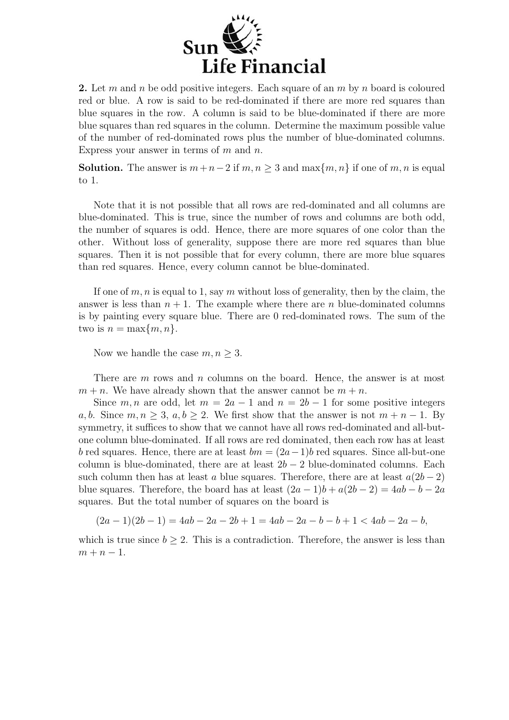

2. Let m and n be odd positive integers. Each square of an  $m$  by n board is coloured red or blue. A row is said to be red-dominated if there are more red squares than blue squares in the row. A column is said to be blue-dominated if there are more blue squares than red squares in the column. Determine the maximum possible value of the number of red-dominated rows plus the number of blue-dominated columns. Express your answer in terms of  $m$  and  $n$ .

**Solution.** The answer is  $m+n-2$  if  $m, n \geq 3$  and  $\max\{m, n\}$  if one of m, n is equal to 1.

Note that it is not possible that all rows are red-dominated and all columns are blue-dominated. This is true, since the number of rows and columns are both odd, the number of squares is odd. Hence, there are more squares of one color than the other. Without loss of generality, suppose there are more red squares than blue squares. Then it is not possible that for every column, there are more blue squares than red squares. Hence, every column cannot be blue-dominated.

If one of  $m, n$  is equal to 1, say m without loss of generality, then by the claim, the answer is less than  $n + 1$ . The example where there are n blue-dominated columns is by painting every square blue. There are 0 red-dominated rows. The sum of the two is  $n = \max\{m, n\}.$ 

Now we handle the case  $m, n \geq 3$ .

There are  $m$  rows and  $n$  columns on the board. Hence, the answer is at most  $m + n$ . We have already shown that the answer cannot be  $m + n$ .

Since m, n are odd, let  $m = 2a - 1$  and  $n = 2b - 1$  for some positive integers a, b. Since  $m, n \geq 3$ ,  $a, b \geq 2$ . We first show that the answer is not  $m + n - 1$ . By symmetry, it suffices to show that we cannot have all rows red-dominated and all-butone column blue-dominated. If all rows are red dominated, then each row has at least b red squares. Hence, there are at least  $bm = (2a-1)b$  red squares. Since all-but-one column is blue-dominated, there are at least  $2b - 2$  blue-dominated columns. Each such column then has at least a blue squares. Therefore, there are at least  $a(2b-2)$ blue squares. Therefore, the board has at least  $(2a-1)b + a(2b-2) = 4ab - b - 2a$ squares. But the total number of squares on the board is

$$
(2a-1)(2b-1) = 4ab - 2a - 2b + 1 = 4ab - 2a - b - b + 1 < 4ab - 2a - b,
$$

which is true since  $b > 2$ . This is a contradiction. Therefore, the answer is less than  $m + n - 1$ .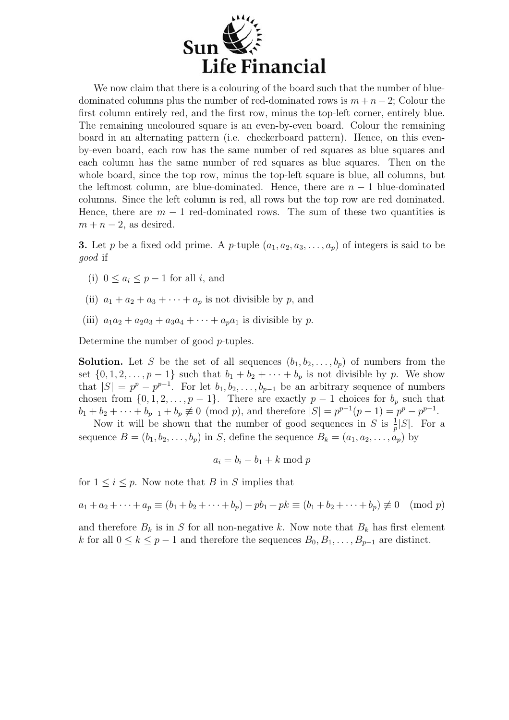

We now claim that there is a colouring of the board such that the number of bluedominated columns plus the number of red-dominated rows is  $m + n - 2$ ; Colour the first column entirely red, and the first row, minus the top-left corner, entirely blue. The remaining uncoloured square is an even-by-even board. Colour the remaining board in an alternating pattern (i.e. checkerboard pattern). Hence, on this evenby-even board, each row has the same number of red squares as blue squares and each column has the same number of red squares as blue squares. Then on the whole board, since the top row, minus the top-left square is blue, all columns, but the leftmost column, are blue-dominated. Hence, there are  $n-1$  blue-dominated columns. Since the left column is red, all rows but the top row are red dominated. Hence, there are  $m-1$  red-dominated rows. The sum of these two quantities is  $m + n - 2$ , as desired.

**3.** Let p be a fixed odd prime. A p-tuple  $(a_1, a_2, a_3, \ldots, a_p)$  of integers is said to be good if

- (i)  $0 \leq a_i \leq p-1$  for all i, and
- (ii)  $a_1 + a_2 + a_3 + \cdots + a_p$  is not divisible by p, and
- (iii)  $a_1a_2 + a_2a_3 + a_3a_4 + \cdots + a_na_1$  is divisible by p.

Determine the number of good p-tuples.

**Solution.** Let S be the set of all sequences  $(b_1, b_2, \ldots, b_p)$  of numbers from the set  $\{0, 1, 2, \ldots, p-1\}$  such that  $b_1 + b_2 + \cdots + b_p$  is not divisible by p. We show that  $|S| = p^p - p^{p-1}$ . For let  $b_1, b_2, \ldots, b_{p-1}$  be an arbitrary sequence of numbers chosen from  $\{0, 1, 2, \ldots, p-1\}$ . There are exactly  $p-1$  choices for  $b_p$  such that  $b_1 + b_2 + \cdots + b_{p-1} + b_p \not\equiv 0 \pmod{p}$ , and therefore  $|S| = p^{p-1}(p-1) = p^p - p^{p-1}$ .

Now it will be shown that the number of good sequences in S is  $\frac{1}{p}|S|$ . For a sequence  $B = (b_1, b_2, \ldots, b_p)$  in S, define the sequence  $B_k = (a_1, a_2, \ldots, a_p)$  by

$$
a_i = b_i - b_1 + k \bmod p
$$

for  $1 \leq i \leq p$ . Now note that B in S implies that

 $a_1 + a_2 + \cdots + a_n \equiv (b_1 + b_2 + \cdots + b_n) - pb_1 + pk \equiv (b_1 + b_2 + \cdots + b_n) \not\equiv 0 \pmod{p}$ 

and therefore  $B_k$  is in S for all non-negative k. Now note that  $B_k$  has first element k for all  $0 \le k \le p-1$  and therefore the sequences  $B_0, B_1, \ldots, B_{p-1}$  are distinct.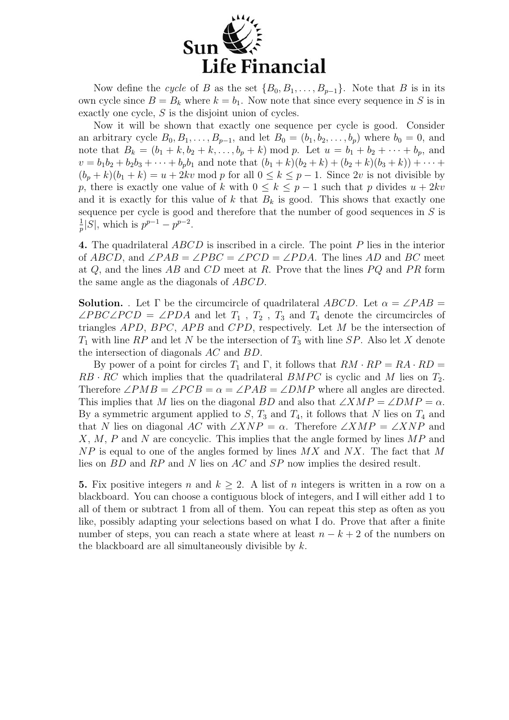

Now define the cycle of B as the set  ${B_0, B_1, \ldots, B_{p-1}}$ . Note that B is in its own cycle since  $B = B_k$  where  $k = b_1$ . Now note that since every sequence in S is in exactly one cycle, S is the disjoint union of cycles.

Now it will be shown that exactly one sequence per cycle is good. Consider an arbitrary cycle  $B_0, B_1, \ldots, B_{p-1}$ , and let  $B_0 = (b_1, b_2, \ldots, b_p)$  where  $b_0 = 0$ , and note that  $B_k = (b_1 + k, b_2 + k, \ldots, b_p + k) \mod p$ . Let  $u = b_1 + b_2 + \cdots + b_p$ , and  $v = b_1b_2 + b_2b_3 + \cdots + b_pb_1$  and note that  $(b_1 + k)(b_2 + k) + (b_2 + k)(b_3 + k) + \cdots$  $(b_p + k)(b_1 + k) = u + 2kv \mod p$  for all  $0 \le k \le p - 1$ . Since  $2v$  is not divisible by p, there is exactly one value of k with  $0 \leq k \leq p-1$  such that p divides  $u + 2kv$ and it is exactly for this value of  $k$  that  $B_k$  is good. This shows that exactly one sequence per cycle is good and therefore that the number of good sequences in  $S$  is 1  $\frac{1}{p}|S|$ , which is  $p^{p-1} - p^{p-2}$ .

4. The quadrilateral ABCD is inscribed in a circle. The point P lies in the interior of ABCD, and  $\angle PAB = \angle PBC = \angle PCD = \angle PDA$ . The lines AD and BC meet at  $Q$ , and the lines AB and CD meet at R. Prove that the lines  $PQ$  and PR form the same angle as the diagonals of ABCD.

**Solution.** . Let  $\Gamma$  be the circumcircle of quadrilateral ABCD. Let  $\alpha = \angle PAB$  $\angle PBC\angle PCD = \angle PDA$  and let  $T_1$ ,  $T_2$ ,  $T_3$  and  $T_4$  denote the circumcircles of triangles  $APD$ ,  $BPC$ ,  $APB$  and  $CPD$ , respectively. Let M be the intersection of  $T_1$  with line RP and let N be the intersection of  $T_3$  with line SP. Also let X denote the intersection of diagonals AC and BD.

By power of a point for circles  $T_1$  and  $\Gamma$ , it follows that  $RM \cdot RP = RA \cdot RD =$  $RB \cdot RC$  which implies that the quadrilateral  $BMPC$  is cyclic and M lies on  $T_2$ . Therefore  $\angle PMB = \angle PCB = \alpha = \angle PAB = \angle DMP$  where all angles are directed. This implies that M lies on the diagonal BD and also that  $\angle XMP = \angle DMP = \alpha$ . By a symmetric argument applied to  $S$ ,  $T_3$  and  $T_4$ , it follows that N lies on  $T_4$  and that N lies on diagonal AC with  $\angle XNP = \alpha$ . Therefore  $\angle XMP = \angle XNP$  and  $X, M, P$  and N are concyclic. This implies that the angle formed by lines  $MP$  and  $NP$  is equal to one of the angles formed by lines  $MX$  and  $NX$ . The fact that M lies on BD and RP and N lies on AC and SP now implies the desired result.

5. Fix positive integers n and  $k \geq 2$ . A list of n integers is written in a row on a blackboard. You can choose a contiguous block of integers, and I will either add 1 to all of them or subtract 1 from all of them. You can repeat this step as often as you like, possibly adapting your selections based on what I do. Prove that after a finite number of steps, you can reach a state where at least  $n - k + 2$  of the numbers on the blackboard are all simultaneously divisible by  $k$ .